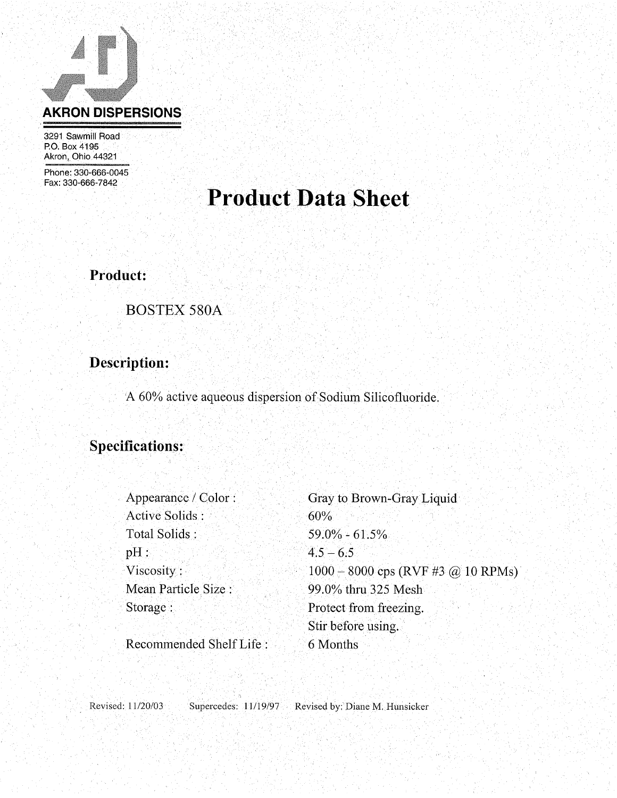

3291 Sawmill Road P.O. Box 4195 Akron, Ohio 44321

Phone: 330-666-0045 Fax: 330-666-7842

## **Product Data Sheet**

Product:

**BOSTEX 580A** 

### Description:

A 60% active aqueous dispersion of Sodium Silicofluoride.

### **Specifications:**

| Appearance / Color:     | Gray to Brown-Gray Liquid            |
|-------------------------|--------------------------------------|
| Active Solids:          | 60%                                  |
| Total Solids:           | $59.0\% - 61.5\%$                    |
| $pH$ :                  | $4.5 - 6.5$                          |
| Viscosity:              | $1000 - 8000$ cps (RVF #3 @ 10 RPMs) |
| Mean Particle Size :    | 99.0% thru 325 Mesh                  |
| Storage:                | Protect from freezing.               |
|                         | Stir before using.                   |
| Recommended Shelf Life: | 6 Months                             |

Recommended Shell File:

Revised: 11/20/03 Supercedes: 11/19/97 Revised by: Diane M. Hunsicker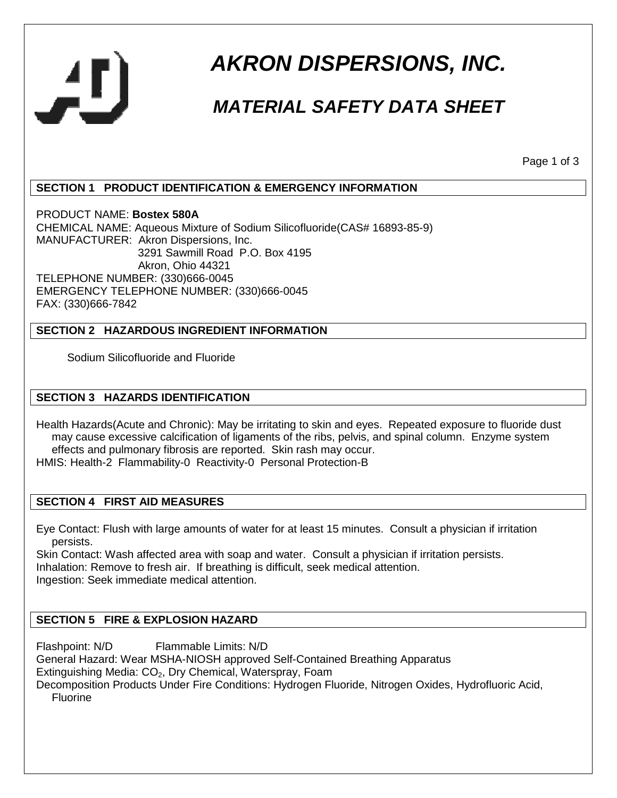

# **AKRON DISPERSIONS, INC.**

## **MATERIAL SAFETY DATA SHEET**

Page 1 of 3

#### **SECTION 1 PRODUCT IDENTIFICATION & EMERGENCY INFORMATION**

PRODUCT NAME: **Bostex 580A** CHEMICAL NAME: Aqueous Mixture of Sodium Silicofluoride(CAS# 16893-85-9) MANUFACTURER: Akron Dispersions, Inc. 3291 Sawmill Road P.O. Box 4195 Akron, Ohio 44321 TELEPHONE NUMBER: (330)666-0045 EMERGENCY TELEPHONE NUMBER: (330)666-0045 FAX: (330)666-7842

#### **SECTION 2 HAZARDOUS INGREDIENT INFORMATION**

Sodium Silicofluoride and Fluoride

#### **SECTION 3 HAZARDS IDENTIFICATION**

Health Hazards(Acute and Chronic): May be irritating to skin and eyes. Repeated exposure to fluoride dust may cause excessive calcification of ligaments of the ribs, pelvis, and spinal column. Enzyme system effects and pulmonary fibrosis are reported. Skin rash may occur. HMIS: Health-2 Flammability-0 Reactivity-0 Personal Protection-B

#### **SECTION 4 FIRST AID MEASURES**

Eye Contact: Flush with large amounts of water for at least 15 minutes. Consult a physician if irritation persists.

Skin Contact: Wash affected area with soap and water. Consult a physician if irritation persists. Inhalation: Remove to fresh air. If breathing is difficult, seek medical attention. Ingestion: Seek immediate medical attention.

#### **SECTION 5 FIRE & EXPLOSION HAZARD**

Flashpoint: N/D Flammable Limits: N/D General Hazard: Wear MSHA-NIOSH approved Self-Contained Breathing Apparatus Extinguishing Media: CO<sub>2</sub>, Dry Chemical, Waterspray, Foam Decomposition Products Under Fire Conditions: Hydrogen Fluoride, Nitrogen Oxides, Hydrofluoric Acid, Fluorine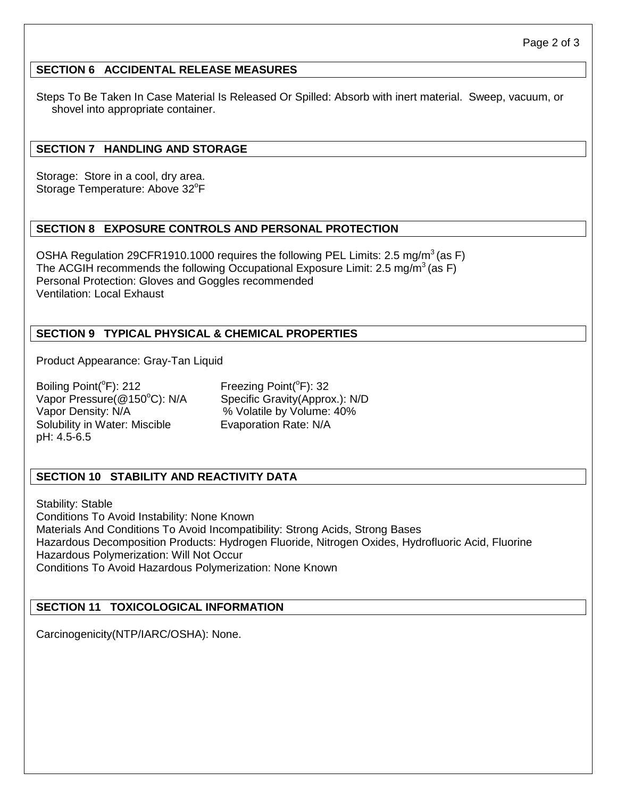#### **SECTION 6 ACCIDENTAL RELEASE MEASURES**

Steps To Be Taken In Case Material Is Released Or Spilled: Absorb with inert material. Sweep, vacuum, or shovel into appropriate container.

#### **SECTION 7 HANDLING AND STORAGE**

Storage: Store in a cool, dry area. Storage Temperature: Above 32°F

#### **SECTION 8 EXPOSURE CONTROLS AND PERSONAL PROTECTION**

OSHA Regulation 29CFR1910.1000 requires the following PEL Limits: 2.5 mg/m<sup>3</sup> (as F) The ACGIH recommends the following Occupational Exposure Limit: 2.5 mg/m<sup>3</sup> (as F) Personal Protection: Gloves and Goggles recommended Ventilation: Local Exhaust

#### **SECTION 9 TYPICAL PHYSICAL & CHEMICAL PROPERTIES**

Product Appearance: Gray-Tan Liquid

Boiling Point( ${}^{\circ}$ F): 212 Freezing Point( ${}^{\circ}$ F): 32 Vapor Pressure(@150°C): N/A Specific Gravity(Approx.): N/D Vapor Density: N/A  $\%$  Volatile by Volume: 40% Solubility in Water: Miscible **Evaporation Rate: N/A** pH: 4.5-6.5

#### **SECTION 10 STABILITY AND REACTIVITY DATA**

Stability: Stable Conditions To Avoid Instability: None Known Materials And Conditions To Avoid Incompatibility: Strong Acids, Strong Bases Hazardous Decomposition Products: Hydrogen Fluoride, Nitrogen Oxides, Hydrofluoric Acid, Fluorine Hazardous Polymerization: Will Not Occur Conditions To Avoid Hazardous Polymerization: None Known

#### **SECTION 11 TOXICOLOGICAL INFORMATION**

Carcinogenicity(NTP/IARC/OSHA): None.